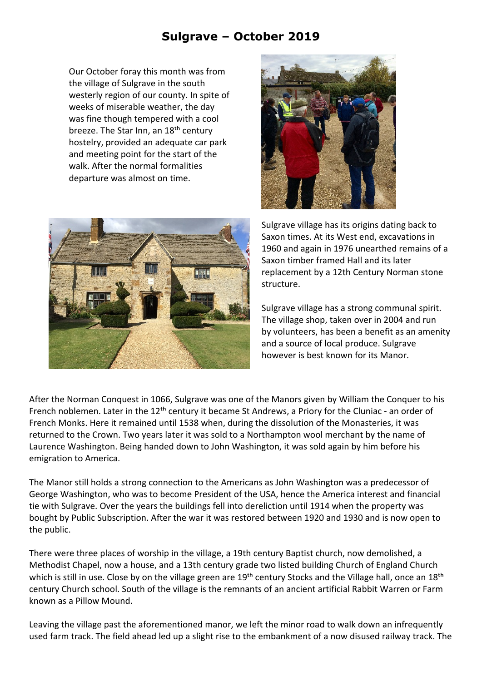## **Sulgrave – October 2019**

Our October foray this month was from the village of Sulgrave in the south westerly region of our county. In spite of weeks of miserable weather, the day was fine though tempered with a cool breeze. The Star Inn, an 18<sup>th</sup> century hostelry, provided an adequate car park and meeting point for the start of the walk. After the normal formalities departure was almost on time.





Sulgrave village has its origins dating back to Saxon times. At its West end, excavations in 1960 and again in 1976 unearthed remains of a Saxon timber framed Hall and its later replacement by a 12th Century Norman stone structure.

Sulgrave village has a strong communal spirit. The village shop, taken over in 2004 and run by volunteers, has been a benefit as an amenity and a source of local produce. Sulgrave however is best known for its Manor.

After the Norman Conquest in 1066, Sulgrave was one of the Manors given by William the Conquer to his French noblemen. Later in the 12<sup>th</sup> century it became St Andrews, a Priory for the Cluniac - an order of French Monks. Here it remained until 1538 when, during the dissolution of the Monasteries, it was returned to the Crown. Two years later it was sold to a Northampton wool merchant by the name of Laurence Washington. Being handed down to John Washington, it was sold again by him before his emigration to America.

The Manor still holds a strong connection to the Americans as John Washington was a predecessor of George Washington, who was to become President of the USA, hence the America interest and financial tie with Sulgrave. Over the years the buildings fell into dereliction until 1914 when the property was bought by Public Subscription. After the war it was restored between 1920 and 1930 and is now open to the public.

There were three places of worship in the village, a 19th century Baptist church, now demolished, a Methodist Chapel, now a house, and a 13th century grade two listed building Church of England Church which is still in use. Close by on the village green are 19<sup>th</sup> century Stocks and the Village hall, once an 18<sup>th</sup> century Church school. South of the village is the remnants of an ancient artificial Rabbit Warren or Farm known as a Pillow Mound.

Leaving the village past the aforementioned manor, we left the minor road to walk down an infrequently used farm track. The field ahead led up a slight rise to the embankment of a now disused railway track. The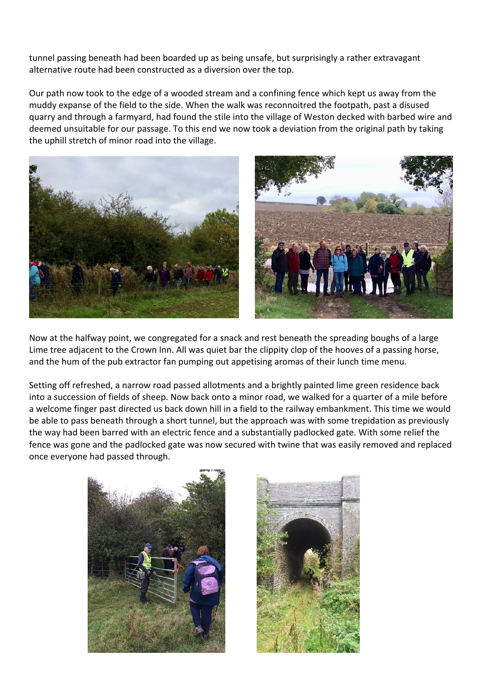tunnel passing beneath had been boarded up as being unsafe, but surprisingly a rather extravagant alternative route had been constructed as a diversion over the top.

Our path now took to the edge of a wooded stream and a confining fence which kept us away from the muddy expanse of the field to the side. When the walk was reconnoitred the footpath, past a disused quarry and through a farmyard, had found the stile into the village of Weston decked with barbed wire and deemed unsuitable for our passage. To this end we now took a deviation from the original path by taking the uphill stretch of minor road into the village.





Now at the halfway point, we congregated for a snack and rest beneath the spreading boughs of a large Lime tree adjacent to the Crown Inn. All was quiet bar the clippity clop of the hooves of a passing horse, and the hum of the pub extractor fan pumping out appetising aromas of their lunch time menu.

Setting off refreshed, a narrow road passed allotments and a brightly painted lime green residence back into a succession of fields of sheep. Now back onto a minor road, we walked for a quarter of a mile before a welcome finger past directed us back down hill in a field to the railway embankment. This time we would be able to pass beneath through a short tunnel, but the approach was with some trepidation as previously the way had been barred with an electric fence and a substantially padlocked gate. With some relief the fence was gone and the padlocked gate was now secured with twine that was easily removed and replaced once everyone had passed through.